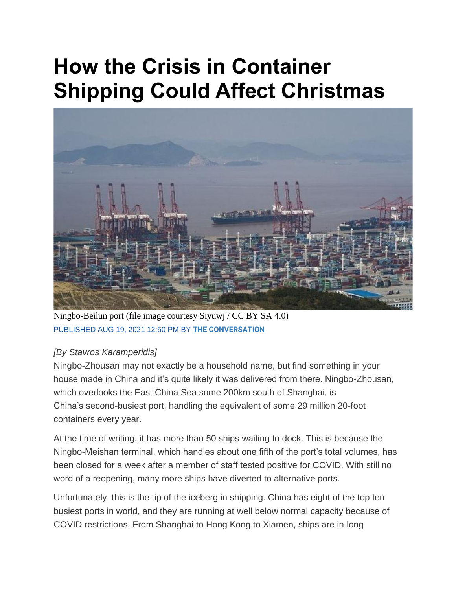## **How the Crisis in Container Shipping Could Affect Christmas**



Ningbo-Beilun port (file image courtesy Siyuwj / CC BY SA 4.0) PUBLISHED AUG 19, 2021 12:50 PM BY **[THE CONVERSATION](https://www.maritime-executive.com/author/the-conversation)**

## *[By Stavros Karamperidis]*

Ningbo-Zhousan may not exactly be a household name, but find something in your house made in China and it's quite likely it was delivered from there. Ningbo-Zhousan, which overlooks the East China Sea some 200km south of Shanghai, is China's second-busiest port, handling the equivalent of some 29 million 20-foot containers every year.

At the time of writing, it has more than 50 ships waiting to dock. This is because the Ningbo-Meishan terminal, which handles about one fifth of the port's total volumes, has been closed for a week after a member of staff tested positive for COVID. With still no word of a reopening, many more ships have diverted to alternative ports.

Unfortunately, this is the tip of the iceberg in shipping. China has eight of the top ten busiest ports in world, and they are running at well below normal capacity because of COVID restrictions. From Shanghai to Hong Kong to Xiamen, ships are in long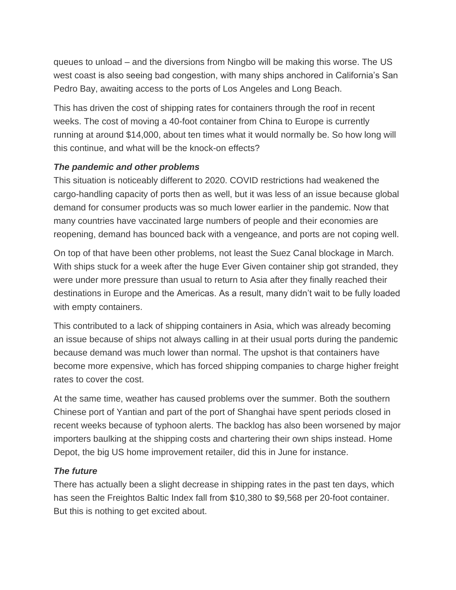queues to unload – and the diversions from Ningbo will be making this worse. The US west coast is also seeing bad congestion, with many ships anchored in California's San Pedro Bay, awaiting access to the ports of Los Angeles and Long Beach.

This has driven the cost of shipping rates for containers through the roof in recent weeks. The cost of moving a 40-foot container from China to Europe is currently running at around \$14,000, about ten times what it would normally be. So how long will this continue, and what will be the knock-on effects?

## *The pandemic and other problems*

This situation is noticeably different to 2020. COVID restrictions had weakened the cargo-handling capacity of ports then as well, but it was less of an issue because global demand for consumer products was so much lower earlier in the pandemic. Now that many countries have vaccinated large numbers of people and their economies are reopening, demand has bounced back with a vengeance, and ports are not coping well.

On top of that have been other problems, not least the Suez Canal blockage in March. With ships stuck for a week after the huge Ever Given container ship got stranded, they were under more pressure than usual to return to Asia after they finally reached their destinations in Europe and the Americas. As a result, many didn't wait to be fully loaded with empty containers.

This contributed to a lack of shipping containers in Asia, which was already becoming an issue because of ships not always calling in at their usual ports during the pandemic because demand was much lower than normal. The upshot is that containers have become more expensive, which has forced shipping companies to charge higher freight rates to cover the cost.

At the same time, weather has caused problems over the summer. Both the southern Chinese port of Yantian and part of the port of Shanghai have spent periods closed in recent weeks because of typhoon alerts. The backlog has also been worsened by major importers baulking at the shipping costs and chartering their own ships instead. Home Depot, the big US home improvement retailer, did this in June for instance.

## *The future*

There has actually been a slight decrease in shipping rates in the past ten days, which has seen the Freightos Baltic Index fall from \$10,380 to \$9,568 per 20-foot container. But this is nothing to get excited about.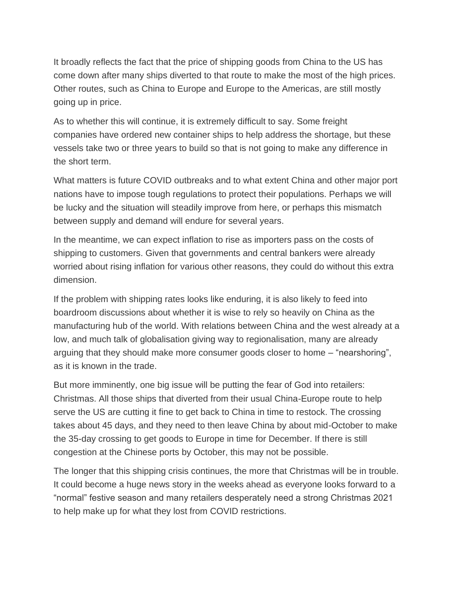It broadly reflects the fact that the price of shipping goods from China to the US has come down after many ships diverted to that route to make the most of the high prices. Other routes, such as China to Europe and Europe to the Americas, are still mostly going up in price.

As to whether this will continue, it is extremely difficult to say. Some freight companies have ordered new container ships to help address the shortage, but these vessels take two or three years to build so that is not going to make any difference in the short term.

What matters is future COVID outbreaks and to what extent China and other major port nations have to impose tough regulations to protect their populations. Perhaps we will be lucky and the situation will steadily improve from here, or perhaps this mismatch between supply and demand will endure for several years.

In the meantime, we can expect inflation to rise as importers pass on the costs of shipping to customers. Given that governments and central bankers were already worried about rising inflation for various other reasons, they could do without this extra dimension.

If the problem with shipping rates looks like enduring, it is also likely to feed into boardroom discussions about whether it is wise to rely so heavily on China as the manufacturing hub of the world. With relations between China and the west already at a low, and much talk of globalisation giving way to regionalisation, many are already arguing that they should make more consumer goods closer to home – "nearshoring", as it is known in the trade.

But more imminently, one big issue will be putting the fear of God into retailers: Christmas. All those ships that diverted from their usual China-Europe route to help serve the US are cutting it fine to get back to China in time to restock. The crossing takes about 45 days, and they need to then leave China by about mid-October to make the 35-day crossing to get goods to Europe in time for December. If there is still congestion at the Chinese ports by October, this may not be possible.

The longer that this shipping crisis continues, the more that Christmas will be in trouble. It could become a huge news story in the weeks ahead as everyone looks forward to a "normal" festive season and many retailers desperately need a strong Christmas 2021 to help make up for what they lost from COVID restrictions.